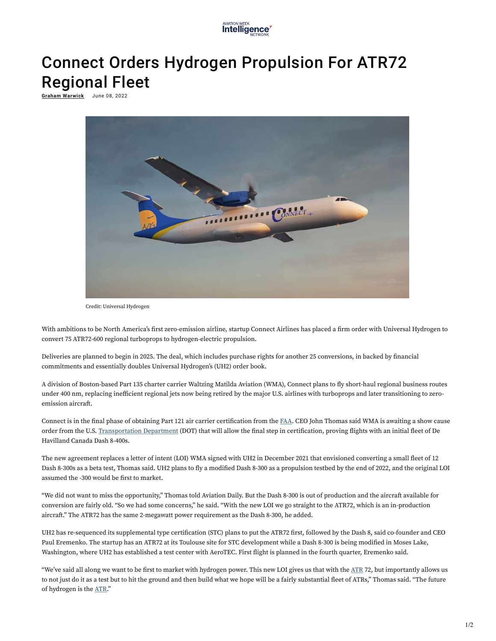

## Connect Orders Hydrogen Propulsion For ATR72 Regional Fleet

**<u>Graham Warwick</u> June 08, 2022** 



Credit: Universal Hydrogen

With ambitions to be North America's first zero-emission airline, startup Connect Airlines has placed a firm order with Universal Hydrogen to convert 75 ATR72-600 regional turboprops to hydrogen-electric propulsion.

Deliveries are planned to begin in 2025. The deal, which includes purchase rights for another 25 conversions, in backed by financial commitments and essentially doubles Universal Hydrogen's (UH2) order book.

A division of Boston-based Part 135 charter carrier Waltzing Matilda Aviation (WMA), Connect plans to fly short-haul regional business routes under 400 nm, replacing inefficient regional jets now being retired by the major U.S. airlines with turboprops and later transitioning to zeroemission aircraft.

Connect is in the final phase of obtaining Part 121 air carrier certification from the FAA. CEO John Thomas said WMA is awaiting a show cause order from the U.S. Transportation Department (DOT) that will allow the final step in certification, proving flights with an initial fleet of De Havilland Canada Dash 8-400s.

The new agreement replaces a letter of intent (LOI) WMA signed with UH2 in December 2021 that envisioned converting a small eet of 12 Dash 8-300s as a beta test, Thomas said. UH2 plans to fly a modified Dash 8-300 as a propulsion testbed by the end of 2022, and the original LOI assumed the -300 would be first to market.

"We did not want to miss the opportunity," Thomas told Aviation Daily. But the Dash 8-300 is out of production and the aircraft available for conversion are fairly old. "So we had some concerns," he said. "With the new LOI we go straight to the ATR72, which is an in-production aircraft." The ATR72 has the same 2-megawatt power requirement as the Dash 8-300, he added.

UH2 has re-sequenced its supplemental type certification (STC) plans to put the ATR72 first, followed by the Dash 8, said co-founder and CEO Paul Eremenko. The startup has an ATR72 at its Toulouse site for STC development while a Dash 8-300 is being modified in Moses Lake, Washington, where UH2 has established a test center with AeroTEC. First flight is planned in the fourth quarter, Eremenko said.

"We've said all along we want to be first to market with hydrogen power. This new LOI gives us that with the ATR 72, but importantly allows us to not just do it as a test but to hit the ground and then build what we hope will be a fairly substantial fleet of ATRs," Thomas said. "The future of hydrogen is the ATR."